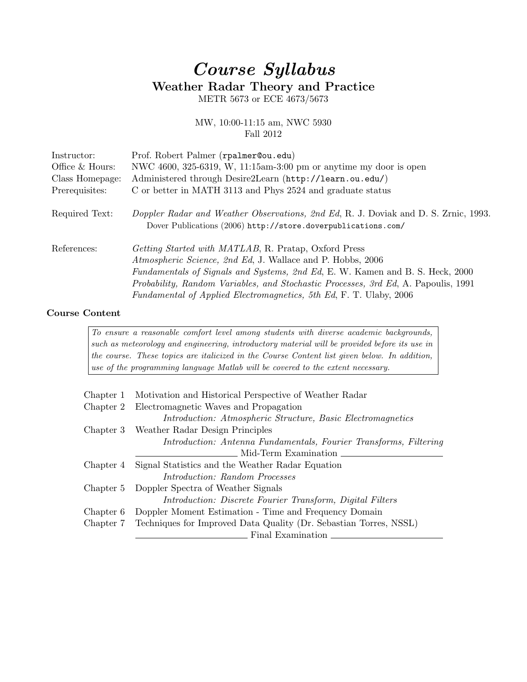## Course Syllabus Weather Radar Theory and Practice

METR 5673 or ECE 4673/5673

## MW, 10:00-11:15 am, NWC 5930 Fall 2012

| Instructor:     | Prof. Robert Palmer (rpalmer@ou.edu)                                                                                                                                                                                                                                                                                                                                   |
|-----------------|------------------------------------------------------------------------------------------------------------------------------------------------------------------------------------------------------------------------------------------------------------------------------------------------------------------------------------------------------------------------|
| Office & Hours: | NWC 4600, 325-6319, W, 11:15am-3:00 pm or anytime my door is open                                                                                                                                                                                                                                                                                                      |
| Class Homepage: | Administered through Desire2Learn (http://learn.ou.edu/)                                                                                                                                                                                                                                                                                                               |
| Prerequisites:  | C or better in MATH 3113 and Phys 2524 and graduate status                                                                                                                                                                                                                                                                                                             |
| Required Text:  | Doppler Radar and Weather Observations, 2nd Ed, R. J. Doviak and D. S. Zrnic, 1993.<br>Dover Publications (2006) http://store.doverpublications.com/                                                                                                                                                                                                                   |
| References:     | Getting Started with MATLAB, R. Pratap, Oxford Press<br>Atmospheric Science, 2nd Ed, J. Wallace and P. Hobbs, 2006<br>Fundamentals of Signals and Systems, 2nd Ed, E. W. Kamen and B. S. Heck, 2000<br><i>Probability, Random Variables, and Stochastic Processes, 3rd Ed, A. Papoulis, 1991</i><br>Fundamental of Applied Electromagnetics, 5th Ed, F. T. Ulaby, 2006 |

## Course Content

To ensure a reasonable comfort level among students with diverse academic backgrounds, such as meteorology and engineering, introductory material will be provided before its use in the course. These topics are italicized in the Course Content list given below. In addition, use of the programming language Matlab will be covered to the extent necessary.

| Chapter 1 | Motivation and Historical Perspective of Weather Radar                      |
|-----------|-----------------------------------------------------------------------------|
| Chapter 2 | Electromagnetic Waves and Propagation                                       |
|           | <i>Introduction: Atmospheric Structure, Basic Electromagnetics</i>          |
|           | Chapter 3 Weather Radar Design Principles                                   |
|           | Introduction: Antenna Fundamentals, Fourier Transforms, Filtering           |
|           | Mid-Term Examination                                                        |
| Chapter 4 | Signal Statistics and the Weather Radar Equation                            |
|           | <i>Introduction: Random Processes</i>                                       |
| Chapter 5 | Doppler Spectra of Weather Signals                                          |
|           | <i>Introduction: Discrete Fourier Transform, Digital Filters</i>            |
| Chapter 6 | Doppler Moment Estimation - Time and Frequency Domain                       |
|           | Chapter 7 Techniques for Improved Data Quality (Dr. Sebastian Torres, NSSL) |
|           | Final Examination                                                           |